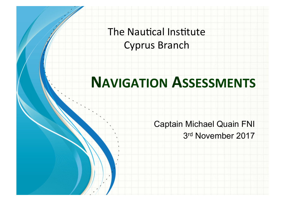The Nautical Institute **Cyprus Branch** 

## **NAVIGATION ASSESSMENTS**

**Captain Michael Quain FNI** 3rd November 2017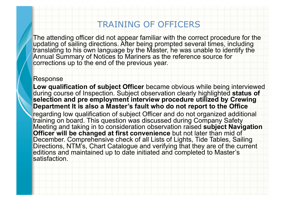### TRAINING OF OFFICERS

The attending officer did not appear familiar with the correct procedure for the updating of sailing directions. After being prompted several times, including translating to his own language by the Master, he was unable to identify the Annual Summary of Notices to Mariners as the reference source for corrections up to the end of the previous year.

#### Response

**Low qualification of subject Officer** became obvious while being interviewed during course of Inspection. Subject observation clearly highlighted **status of selection and pre employment interview procedure utilized by Crewing Department It is also a Master's fault who do not report to the Office**  regarding low qualification of subject Officer and do not organized additional training on board. This question was discussed during Company Safety Meeting and taking in to consideration observation raised **subject Navigation** 

**Officer will be changed at first convenience** but not later than mid of December. Comprehensive check of all Lists of Lights, Tide Tables, Sailing Directions, NTM's, Chart Catalogue and verifying that they are of the current editions and maintained up to date initiated and completed to Master's satisfaction.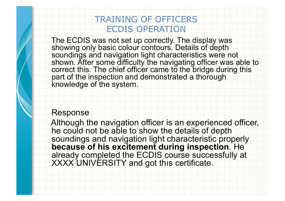## TRAINING OF OFFICERS ECDIS OPERATION

The ECDIS was not set up correctly. The display was showing only basic colour contours. Details of depth soundings and navigation light characteristics were not shown. After some difficulty the navigating officer was able to correct this. The chief officer came to the bridge during this part of the inspection and demonstrated a thorough knowledge of the system.

#### Response

Although the navigation officer is an experienced officer, he could not be able to show the details of depth soundings and navigation light characteristic properly **because of his excitement during inspection**. He already completed the ECDIS course successfully at XXXX UNIVERSITY and got thıs certificate.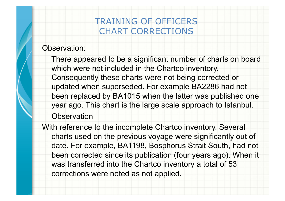## TRAINING OF OFFICERS CHART CORRECTIONS

#### Observation:

There appeared to be a significant number of charts on board which were not included in the Chartco inventory. Consequently these charts were not being corrected or updated when superseded. For example BA2286 had not been replaced by BA1015 when the latter was published one year ago. This chart is the large scale approach to Istanbul.

**Observation** 

With reference to the incomplete Chartco inventory. Several charts used on the previous voyage were significantly out of date. For example, BA1198, Bosphorus Strait South, had not been corrected since its publication (four years ago). When it was transferred into the Chartco inventory a total of 53 corrections were noted as not applied.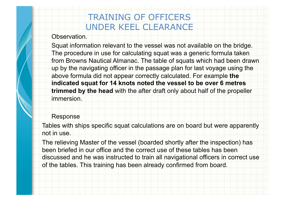## TRAINING OF OFFICERS UNDER KEEL CLEARANCE

Observation.

Squat information relevant to the vessel was not available on the bridge. The procedure in use for calculating squat was a generic formula taken from Browns Nautical Almanac. The table of squats which had been drawn up by the navigating officer in the passage plan for last voyage using the above formula did not appear correctly calculated. For example **the indicated squat for 14 knots noted the vessel to be over 6 metres trimmed by the head** with the after draft only about half of the propeller immersion.

#### Response

Tables with ships specific squat calculations are on board but were apparently not in use.

The relieving Master of the vessel (boarded shortly after the inspection) has been briefed in our office and the correct use of these tables has been discussed and he was instructed to train all navigational officers in correct use of the tables. This training has been already confirmed from board.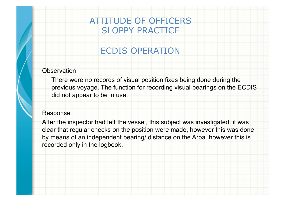## ATTITUDE OF OFFICERS SLOPPY PRACTICE

## ECDIS OPERATION

#### **Observation**

There were no records of visual position fixes being done during the previous voyage. The function for recording visual bearings on the ECDIS did not appear to be in use.

#### Response

After the inspector had left the vessel, this subject was investigated. it was clear that regular checks on the position were made, however this was done by means of an independent bearing/ distance on the Arpa. however this is recorded only in the logbook.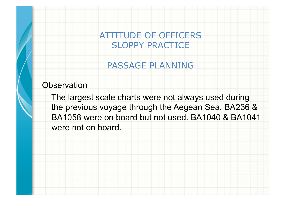ATTITUDE OF OFFICERS SLOPPY PRACTICE

PASSAGE PLANNING

**Observation** 

The largest scale charts were not always used during the previous voyage through the Aegean Sea. BA236 & BA1058 were on board but not used. BA1040 & BA1041 were not on board.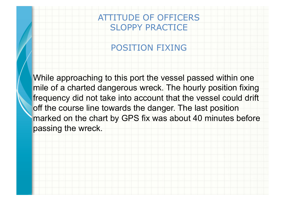## ATTITUDE OF OFFICERS SLOPPY PRACTICE

### POSITION FIXING

While approaching to this port the vessel passed within one mile of a charted dangerous wreck. The hourly position fixing frequency did not take into account that the vessel could drift off the course line towards the danger. The last position marked on the chart by GPS fix was about 40 minutes before passing the wreck.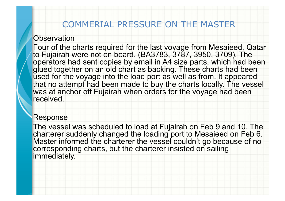### COMMERIAL PRESSURE ON THE MASTER

#### **Observation**

Four of the charts required for the last voyage from Mesaieed, Qatar to Fujairah were not on board, (BA3783, 3787, 3950, 3709). The operators had sent copies by email in A4 size parts, which had been glued together on an old chart as backing. These charts had been used for the voyage into the load port as well as from. It appeared that no attempt had been made to buy the charts locally. The vessel was at anchor off Fujairah when orders for the voyage had been received.

#### Response

The vessel was scheduled to load at Fujairah on Feb 9 and 10. The charterer suddenly changed the loading port to Mesaieed on Feb 6. Master informed the charterer the vessel couldn't go because of no corresponding charts, but the charterer insisted on sailing immediately.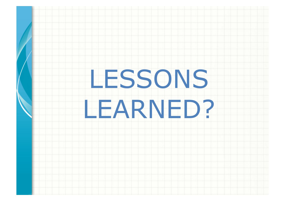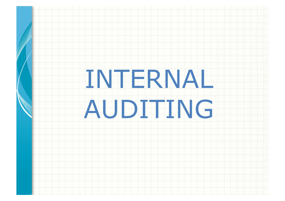# INTERNAL AUDITING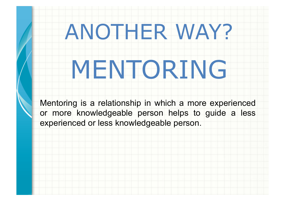# ANOTHER WAY?

# MENTORING

Mentoring is a relationship in which a more experienced or more knowledgeable person helps to guide a less experienced or less knowledgeable person.